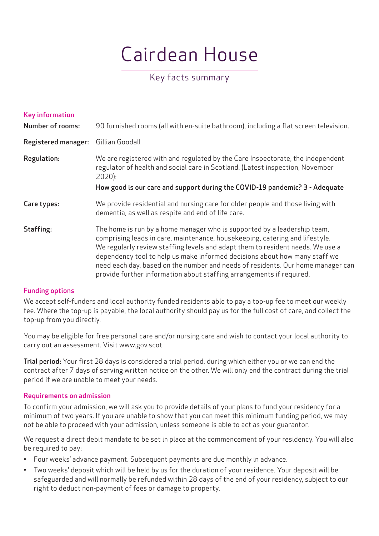# Cairdean House

# Key facts summary

| <b>Key information</b><br><b>Number of rooms:</b> | 90 furnished rooms (all with en-suite bathroom), including a flat screen television.                                                                                                                                                                                                                                                                                                                                                                                                |
|---------------------------------------------------|-------------------------------------------------------------------------------------------------------------------------------------------------------------------------------------------------------------------------------------------------------------------------------------------------------------------------------------------------------------------------------------------------------------------------------------------------------------------------------------|
| <b>Registered manager:</b>                        | Gillian Goodall                                                                                                                                                                                                                                                                                                                                                                                                                                                                     |
| Regulation:                                       | We are registered with and regulated by the Care Inspectorate, the independent<br>regulator of health and social care in Scotland. (Latest inspection, November<br>$2020$ :                                                                                                                                                                                                                                                                                                         |
|                                                   | How good is our care and support during the COVID-19 pandemic? 3 - Adequate                                                                                                                                                                                                                                                                                                                                                                                                         |
| Care types:                                       | We provide residential and nursing care for older people and those living with<br>dementia, as well as respite and end of life care.                                                                                                                                                                                                                                                                                                                                                |
| Staffing:                                         | The home is run by a home manager who is supported by a leadership team,<br>comprising leads in care, maintenance, housekeeping, catering and lifestyle.<br>We regularly review staffing levels and adapt them to resident needs. We use a<br>dependency tool to help us make informed decisions about how many staff we<br>need each day, based on the number and needs of residents. Our home manager can<br>provide further information about staffing arrangements if required. |

# Funding options

We accept self-funders and local authority funded residents able to pay a top-up fee to meet our weekly fee. Where the top-up is payable, the local authority should pay us for the full cost of care, and collect the top-up from you directly.

You may be eligible for free personal care and/or nursing care and wish to contact your local authority to carry out an assessment. Visit www.gov.scot

Trial period: Your first 28 days is considered a trial period, during which either you or we can end the contract after 7 days of serving written notice on the other. We will only end the contract during the trial period if we are unable to meet your needs.

# Requirements on admission

To confirm your admission, we will ask you to provide details of your plans to fund your residency for a minimum of two years. If you are unable to show that you can meet this minimum funding period, we may not be able to proceed with your admission, unless someone is able to act as your guarantor.

We request a direct debit mandate to be set in place at the commencement of your residency. You will also be required to pay:

- Four weeks' advance payment. Subsequent payments are due monthly in advance.
- Two weeks' deposit which will be held by us for the duration of your residence. Your deposit will be safeguarded and will normally be refunded within 28 days of the end of your residency, subject to our right to deduct non-payment of fees or damage to property.